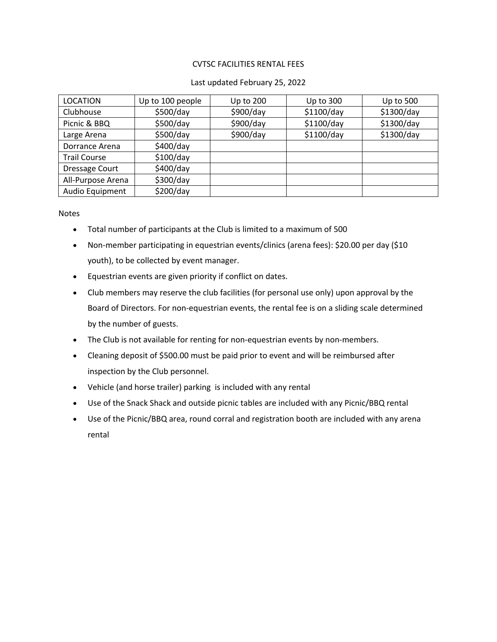### CVTSC FACILITIES RENTAL FEES

#### Last updated February 25, 2022

| <b>LOCATION</b>       | Up to 100 people | Up to 200 | Up to 300  | Up to 500  |
|-----------------------|------------------|-----------|------------|------------|
| Clubhouse             | \$500/day        | \$900/day | \$1100/day | \$1300/day |
| Picnic & BBQ          | \$500/day        | \$900/day | \$1100/day | \$1300/day |
| Large Arena           | \$500/day        | \$900/day | \$1100/day | \$1300/day |
| Dorrance Arena        | \$400/day        |           |            |            |
| <b>Trail Course</b>   | \$100/day        |           |            |            |
| <b>Dressage Court</b> | \$400/day        |           |            |            |
| All-Purpose Arena     | \$300/day        |           |            |            |
| Audio Equipment       | \$200/day        |           |            |            |

Notes

- Total number of participants at the Club is limited to a maximum of 500
- Non-member participating in equestrian events/clinics (arena fees): \$20.00 per day (\$10 youth), to be collected by event manager.
- Equestrian events are given priority if conflict on dates.
- Club members may reserve the club facilities (for personal use only) upon approval by the Board of Directors. For non-equestrian events, the rental fee is on a sliding scale determined by the number of guests.
- The Club is not available for renting for non-equestrian events by non-members.
- Cleaning deposit of \$500.00 must be paid prior to event and will be reimbursed after inspection by the Club personnel.
- Vehicle (and horse trailer) parking is included with any rental
- Use of the Snack Shack and outside picnic tables are included with any Picnic/BBQ rental
- Use of the Picnic/BBQ area, round corral and registration booth are included with any arena rental